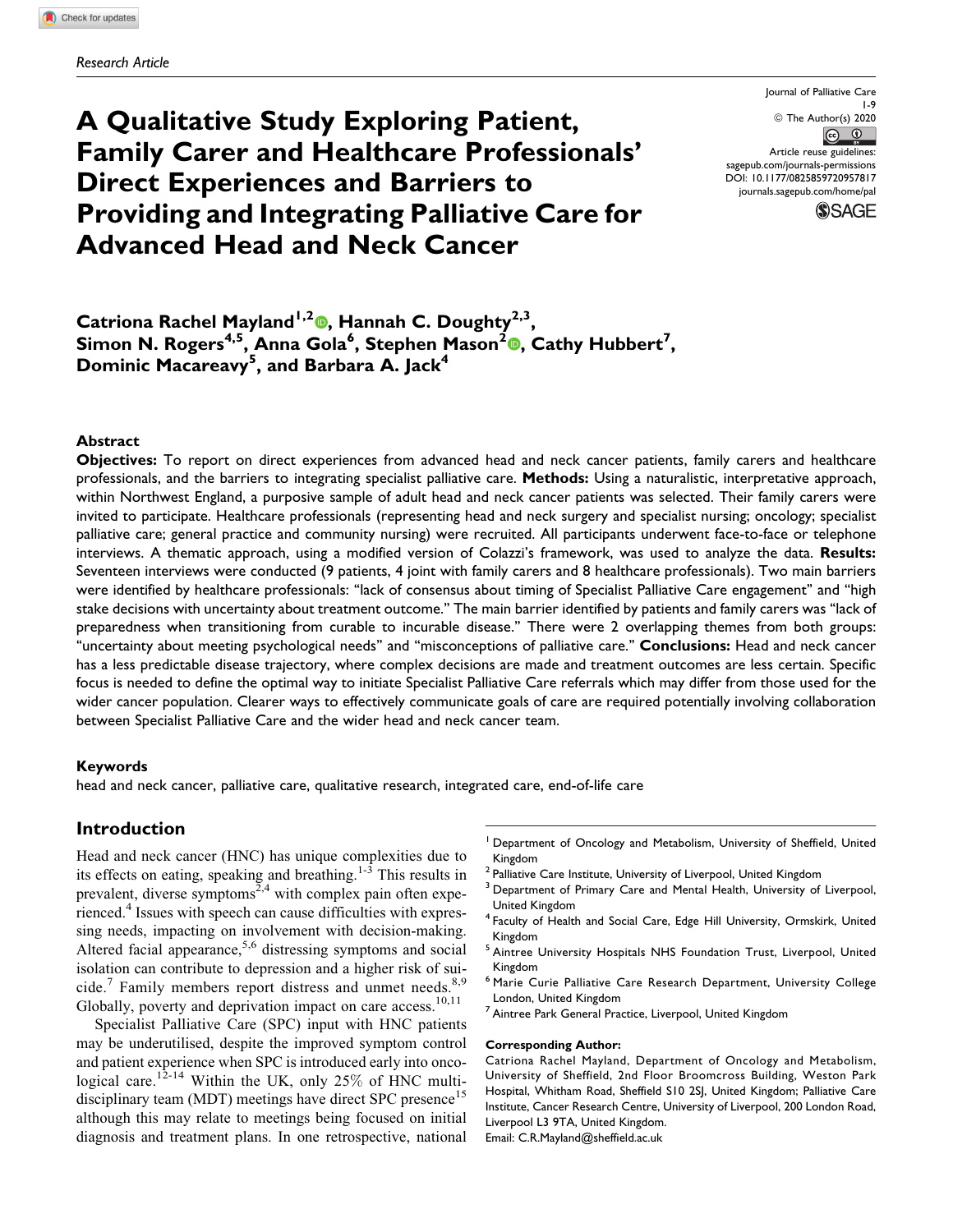# A Qualitative Study Exploring Patient, Family Carer and Healthcare Professionals' Direct Experiences and Barriers to Providing and Integrating Palliative Care for Advanced Head and Neck Cancer

Journal of Palliative Care 1-9 © The Author(s) 2020  $\circledcirc$ Article reuse guidelines: [sagepub.com/journals-permissions](https://sagepub.com/journals-permissions) [DOI: 10.1177/0825859720957817](https://doi.org/10.1177/0825859720957817) [journals.sagepub.com/home/pal](http://journals.sagepub.com/home/pal)



# Catriona Rachel Mayland<sup>1[,](https://orcid.org/0000-0002-1440-9953)2</sup> , Hannah C. Doughty<sup>2,3</sup>, Simon N. Rogers<sup>4[,](https://orcid.org/0000-0002-4020-6869)5</sup>, Anna Gola<sup>6</sup>, Stephen Mason<sup>2</sup>®, Cathy Hubbert<sup>7</sup>, Dominic Macareavy<sup>5</sup>, and Barbara A. Jack<sup>4</sup>

#### Abstract

Objectives: To report on direct experiences from advanced head and neck cancer patients, family carers and healthcare professionals, and the barriers to integrating specialist palliative care. Methods: Using a naturalistic, interpretative approach, within Northwest England, a purposive sample of adult head and neck cancer patients was selected. Their family carers were invited to participate. Healthcare professionals (representing head and neck surgery and specialist nursing; oncology; specialist palliative care; general practice and community nursing) were recruited. All participants underwent face-to-face or telephone interviews. A thematic approach, using a modified version of Colazzi's framework, was used to analyze the data. Results: Seventeen interviews were conducted (9 patients, 4 joint with family carers and 8 healthcare professionals). Two main barriers were identified by healthcare professionals: ''lack of consensus about timing of Specialist Palliative Care engagement'' and ''high stake decisions with uncertainty about treatment outcome.'' The main barrier identified by patients and family carers was ''lack of preparedness when transitioning from curable to incurable disease.'' There were 2 overlapping themes from both groups: "uncertainty about meeting psychological needs" and "misconceptions of palliative care." Conclusions: Head and neck cancer has a less predictable disease trajectory, where complex decisions are made and treatment outcomes are less certain. Specific focus is needed to define the optimal way to initiate Specialist Palliative Care referrals which may differ from those used for the wider cancer population. Clearer ways to effectively communicate goals of care are required potentially involving collaboration between Specialist Palliative Care and the wider head and neck cancer team.

#### Keywords

head and neck cancer, palliative care, qualitative research, integrated care, end-of-life care

# Introduction

Head and neck cancer (HNC) has unique complexities due to its effects on eating, speaking and breathing.<sup>1-3</sup> This results in prevalent, diverse symptoms<sup> $2,4$ </sup> with complex pain often experienced.<sup>4</sup> Issues with speech can cause difficulties with expressing needs, impacting on involvement with decision-making. Altered facial appearance,  $5.6$  distressing symptoms and social isolation can contribute to depression and a higher risk of suicide.<sup>7</sup> Family members report distress and unmet needs.<sup>8,9</sup> Globally, poverty and deprivation impact on care access.<sup>10,11</sup>

Specialist Palliative Care (SPC) input with HNC patients may be underutilised, despite the improved symptom control and patient experience when SPC is introduced early into oncological care.<sup>12-14</sup> Within the UK, only 25% of HNC multidisciplinary team (MDT) meetings have direct SPC presence<sup>15</sup> although this may relate to meetings being focused on initial diagnosis and treatment plans. In one retrospective, national

- <sup>1</sup> Department of Oncology and Metabolism, University of Sheffield, United Kingdom
- <sup>2</sup> Palliative Care Institute, University of Liverpool, United Kingdom
- <sup>3</sup> Department of Primary Care and Mental Health, University of Liverpool, United Kingdom
- <sup>4</sup> Faculty of Health and Social Care, Edge Hill University, Ormskirk, United Kingdom
- <sup>5</sup> Aintree University Hospitals NHS Foundation Trust, Liverpool, United Kingdom
- <sup>6</sup> Marie Curie Palliative Care Research Department, University College London, United Kingdom
- <sup>7</sup> Aintree Park General Practice, Liverpool, United Kingdom

#### Corresponding Author:

Catriona Rachel Mayland, Department of Oncology and Metabolism, University of Sheffield, 2nd Floor Broomcross Building, Weston Park Hospital, Whitham Road, Sheffield S10 2SJ, United Kingdom; Palliative Care Institute, Cancer Research Centre, University of Liverpool, 200 London Road, Liverpool L3 9TA, United Kingdom.

Email: [C.R.Mayland@sheffield.ac.uk](mailto:C.R.Mayland@sheffield.ac.uk)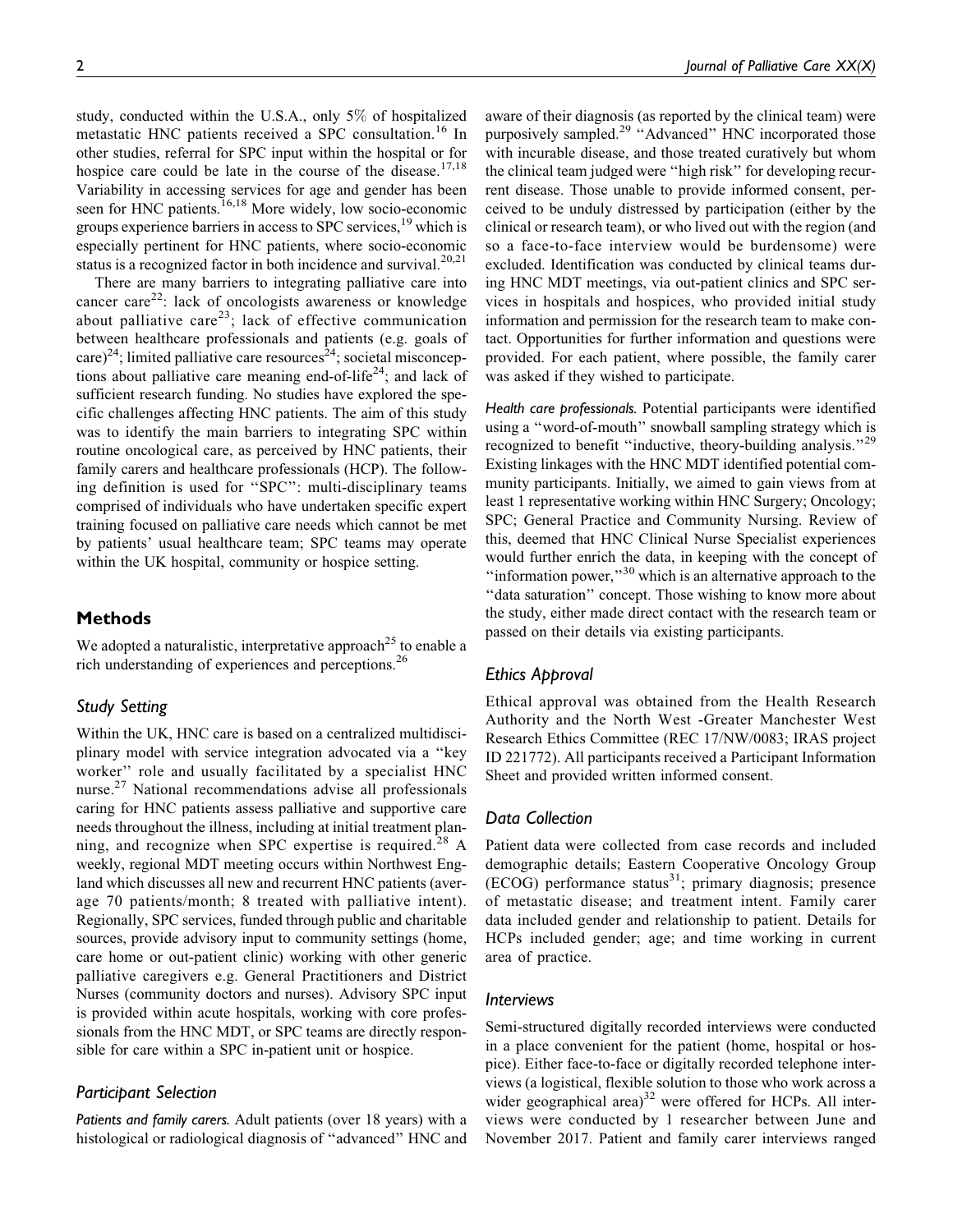study, conducted within the U.S.A., only 5% of hospitalized metastatic HNC patients received a SPC consultation.<sup>16</sup> In other studies, referral for SPC input within the hospital or for hospice care could be late in the course of the disease.<sup>17,18</sup> Variability in accessing services for age and gender has been seen for HNC patients.<sup>16,18</sup> More widely, low socio-economic groups experience barriers in access to SPC services,<sup>19</sup> which is especially pertinent for HNC patients, where socio-economic status is a recognized factor in both incidence and survival.<sup>20,21</sup>

There are many barriers to integrating palliative care into cancer care<sup>22</sup>: lack of oncologists awareness or knowledge about palliative care<sup>23</sup>; lack of effective communication between healthcare professionals and patients (e.g. goals of care)<sup>24</sup>; limited palliative care resources<sup>24</sup>; societal misconceptions about palliative care meaning end-of-life<sup>24</sup>; and lack of sufficient research funding. No studies have explored the specific challenges affecting HNC patients. The aim of this study was to identify the main barriers to integrating SPC within routine oncological care, as perceived by HNC patients, their family carers and healthcare professionals (HCP). The following definition is used for ''SPC'': multi-disciplinary teams comprised of individuals who have undertaken specific expert training focused on palliative care needs which cannot be met by patients' usual healthcare team; SPC teams may operate within the UK hospital, community or hospice setting.

# **Methods**

We adopted a naturalistic, interpretative approach<sup>25</sup> to enable a rich understanding of experiences and perceptions.<sup>26</sup>

# Study Setting

Within the UK, HNC care is based on a centralized multidisciplinary model with service integration advocated via a ''key worker'' role and usually facilitated by a specialist HNC nurse.<sup>27</sup> National recommendations advise all professionals caring for HNC patients assess palliative and supportive care needs throughout the illness, including at initial treatment planning, and recognize when SPC expertise is required.<sup>28</sup> A weekly, regional MDT meeting occurs within Northwest England which discusses all new and recurrent HNC patients (average 70 patients/month; 8 treated with palliative intent). Regionally, SPC services, funded through public and charitable sources, provide advisory input to community settings (home, care home or out-patient clinic) working with other generic palliative caregivers e.g. General Practitioners and District Nurses (community doctors and nurses). Advisory SPC input is provided within acute hospitals, working with core professionals from the HNC MDT, or SPC teams are directly responsible for care within a SPC in-patient unit or hospice.

# Participant Selection

Patients and family carers. Adult patients (over 18 years) with a histological or radiological diagnosis of ''advanced'' HNC and aware of their diagnosis (as reported by the clinical team) were purposively sampled.<sup>29</sup> "Advanced" HNC incorporated those with incurable disease, and those treated curatively but whom the clinical team judged were ''high risk'' for developing recurrent disease. Those unable to provide informed consent, perceived to be unduly distressed by participation (either by the clinical or research team), or who lived out with the region (and so a face-to-face interview would be burdensome) were excluded. Identification was conducted by clinical teams during HNC MDT meetings, via out-patient clinics and SPC services in hospitals and hospices, who provided initial study information and permission for the research team to make contact. Opportunities for further information and questions were provided. For each patient, where possible, the family carer was asked if they wished to participate.

Health care professionals. Potential participants were identified using a ''word-of-mouth'' snowball sampling strategy which is recognized to benefit "inductive, theory-building analysis."<sup>29</sup> Existing linkages with the HNC MDT identified potential community participants. Initially, we aimed to gain views from at least 1 representative working within HNC Surgery; Oncology; SPC; General Practice and Community Nursing. Review of this, deemed that HNC Clinical Nurse Specialist experiences would further enrich the data, in keeping with the concept of "information power,"<sup>30</sup> which is an alternative approach to the "data saturation" concept. Those wishing to know more about the study, either made direct contact with the research team or passed on their details via existing participants.

# Ethics Approval

Ethical approval was obtained from the Health Research Authority and the North West -Greater Manchester West Research Ethics Committee (REC 17/NW/0083; IRAS project ID 221772). All participants received a Participant Information Sheet and provided written informed consent.

# Data Collection

Patient data were collected from case records and included demographic details; Eastern Cooperative Oncology Group  $(ECOG)$  performance status<sup>31</sup>; primary diagnosis; presence of metastatic disease; and treatment intent. Family carer data included gender and relationship to patient. Details for HCPs included gender; age; and time working in current area of practice.

#### Interviews

Semi-structured digitally recorded interviews were conducted in a place convenient for the patient (home, hospital or hospice). Either face-to-face or digitally recorded telephone interviews (a logistical, flexible solution to those who work across a wider geographical area) $32$  were offered for HCPs. All interviews were conducted by 1 researcher between June and November 2017. Patient and family carer interviews ranged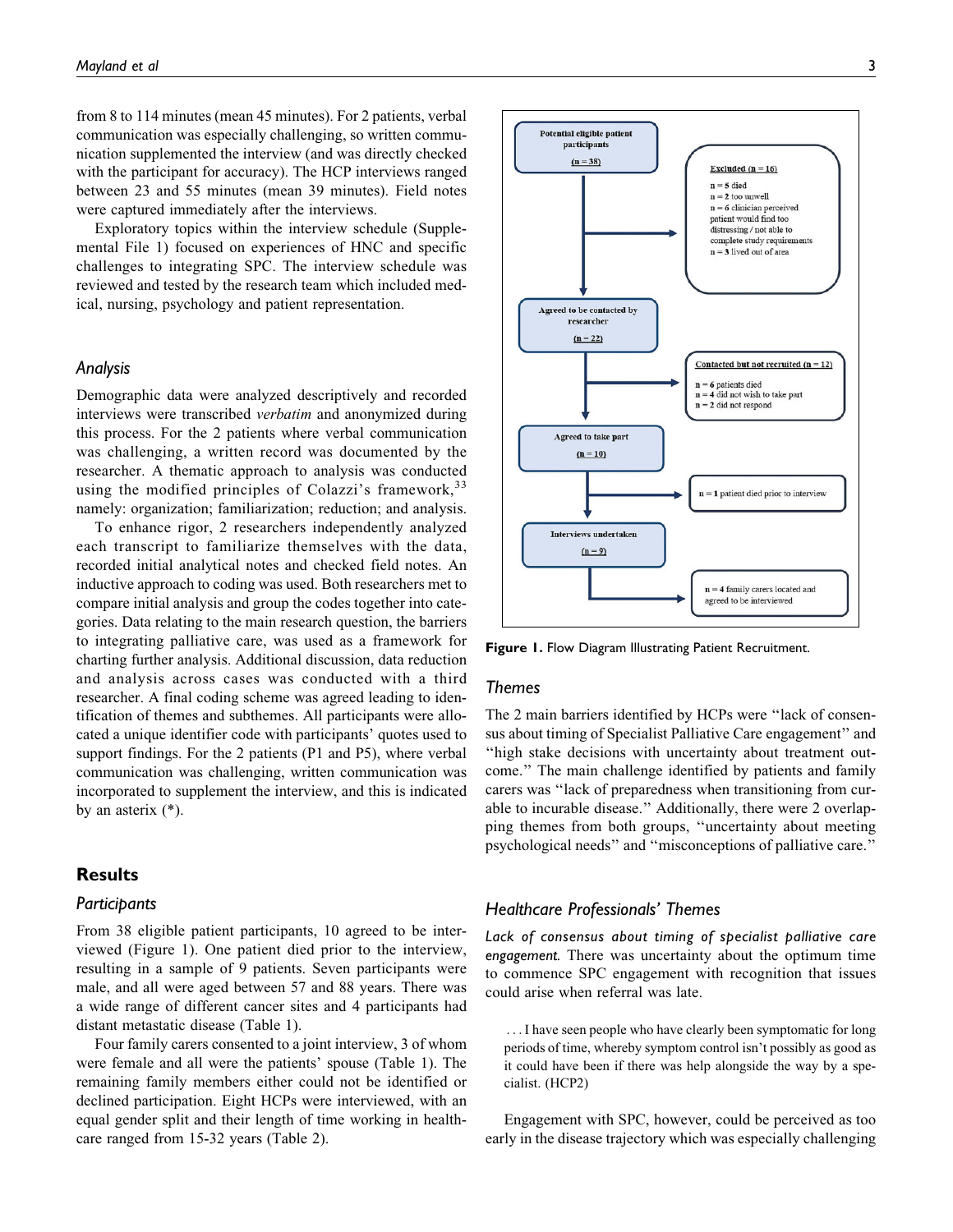from 8 to 114 minutes (mean 45 minutes). For 2 patients, verbal communication was especially challenging, so written communication supplemented the interview (and was directly checked with the participant for accuracy). The HCP interviews ranged between 23 and 55 minutes (mean 39 minutes). Field notes were captured immediately after the interviews.

Exploratory topics within the interview schedule (Supplemental File 1) focused on experiences of HNC and specific challenges to integrating SPC. The interview schedule was reviewed and tested by the research team which included medical, nursing, psychology and patient representation.

#### Analysis

Demographic data were analyzed descriptively and recorded interviews were transcribed verbatim and anonymized during this process. For the 2 patients where verbal communication was challenging, a written record was documented by the researcher. A thematic approach to analysis was conducted using the modified principles of Colazzi's framework,  $33$ namely: organization; familiarization; reduction; and analysis.

To enhance rigor, 2 researchers independently analyzed each transcript to familiarize themselves with the data, recorded initial analytical notes and checked field notes. An inductive approach to coding was used. Both researchers met to compare initial analysis and group the codes together into categories. Data relating to the main research question, the barriers to integrating palliative care, was used as a framework for charting further analysis. Additional discussion, data reduction and analysis across cases was conducted with a third researcher. A final coding scheme was agreed leading to identification of themes and subthemes. All participants were allocated a unique identifier code with participants' quotes used to support findings. For the 2 patients (P1 and P5), where verbal communication was challenging, written communication was incorporated to supplement the interview, and this is indicated by an asterix (\*).

#### **Results**

#### **Participants**

From 38 eligible patient participants, 10 agreed to be interviewed (Figure 1). One patient died prior to the interview, resulting in a sample of 9 patients. Seven participants were male, and all were aged between 57 and 88 years. There was a wide range of different cancer sites and 4 participants had distant metastatic disease (Table 1).

Four family carers consented to a joint interview, 3 of whom were female and all were the patients' spouse (Table 1). The remaining family members either could not be identified or declined participation. Eight HCPs were interviewed, with an equal gender split and their length of time working in healthcare ranged from 15-32 years (Table 2).



Figure 1. Flow Diagram Illustrating Patient Recruitment.

# Themes

The 2 main barriers identified by HCPs were ''lack of consensus about timing of Specialist Palliative Care engagement'' and ''high stake decisions with uncertainty about treatment outcome.'' The main challenge identified by patients and family carers was ''lack of preparedness when transitioning from curable to incurable disease.'' Additionally, there were 2 overlapping themes from both groups, ''uncertainty about meeting psychological needs'' and ''misconceptions of palliative care.''

#### Healthcare Professionals' Themes

Lack of consensus about timing of specialist palliative care engagement. There was uncertainty about the optimum time to commence SPC engagement with recognition that issues could arise when referral was late.

...I have seen people who have clearly been symptomatic for long periods of time, whereby symptom control isn't possibly as good as it could have been if there was help alongside the way by a specialist. (HCP2)

Engagement with SPC, however, could be perceived as too early in the disease trajectory which was especially challenging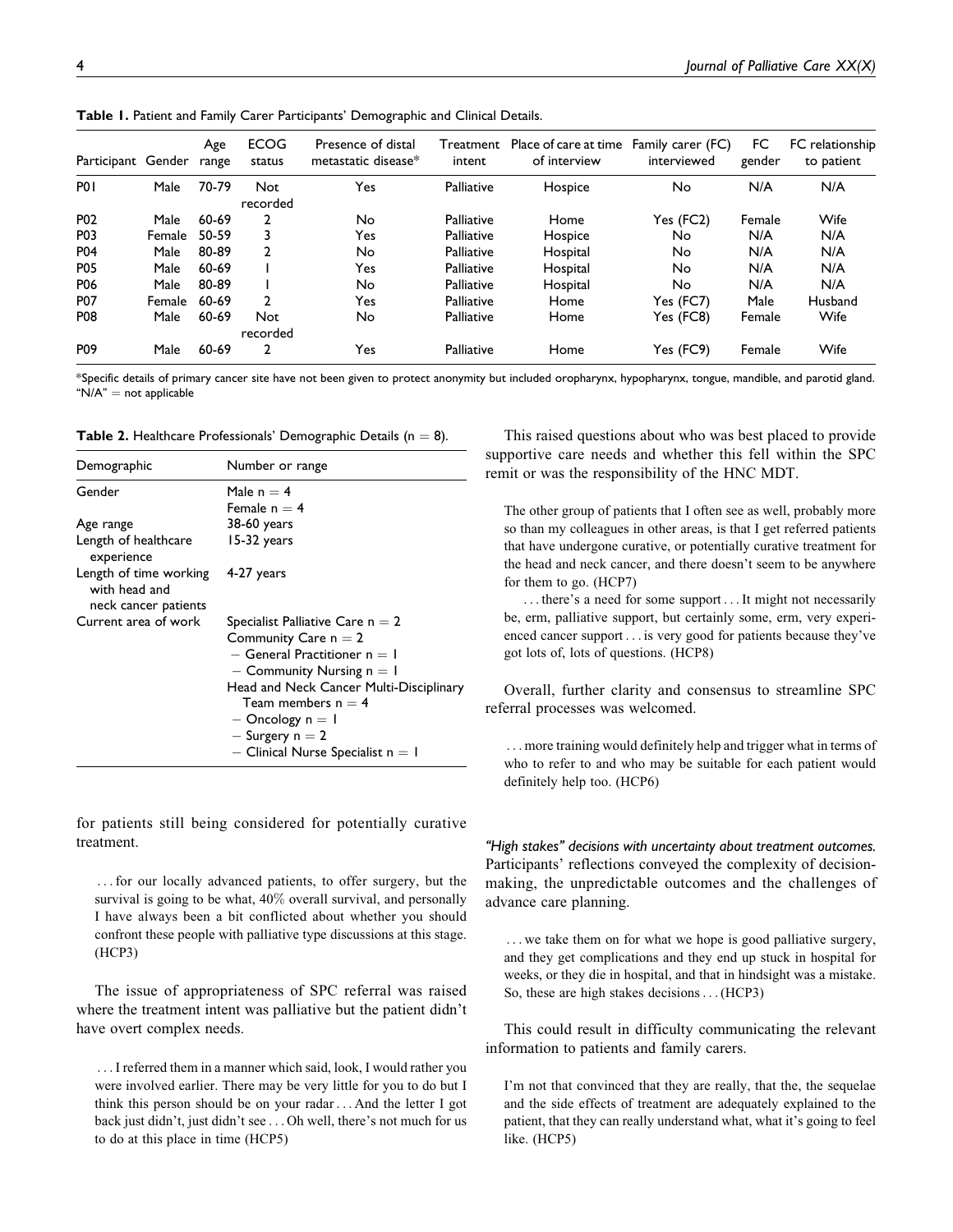| Participant Gender |        | Age<br>range | <b>ECOG</b><br>status | Presence of distal<br>metastatic disease* | Treatment<br>intent | Place of care at time<br>of interview | Family carer (FC)<br>interviewed | FC<br>gender | FC relationship<br>to patient |
|--------------------|--------|--------------|-----------------------|-------------------------------------------|---------------------|---------------------------------------|----------------------------------|--------------|-------------------------------|
| P <sub>0</sub>     | Male   | 70-79        | Not<br>recorded       | Yes                                       | Palliative          | Hospice                               | No                               | N/A          | N/A                           |
| P <sub>0</sub> 2   | Male   | 60-69        | 2                     | No                                        | Palliative          | Home                                  | Yes (FC2)                        | Female       | Wife                          |
| P03                | Female | 50-59        |                       | Yes                                       | Palliative          | Hospice                               | No                               | N/A          | N/A                           |
| P04                | Male   | 80-89        | 2                     | No                                        | Palliative          | Hospital                              | No                               | N/A          | N/A                           |
| <b>P05</b>         | Male   | 60-69        |                       | Yes                                       | Palliative          | Hospital                              | No                               | N/A          | N/A                           |
| P06                | Male   | 80-89        |                       | No                                        | Palliative          | Hospital                              | No                               | N/A          | N/A                           |
| <b>P07</b>         | Female | 60-69        | 2                     | Yes                                       | Palliative          | Home                                  | Yes (FC7)                        | Male         | Husband                       |
| <b>P08</b>         | Male   | 60-69        | Not                   | No                                        | Palliative          | Home                                  | Yes (FC8)                        | Female       | Wife                          |
|                    |        |              | recorded              |                                           |                     |                                       |                                  |              |                               |
| P <sub>09</sub>    | Male   | 60-69        | 2                     | Yes                                       | Palliative          | Home                                  | Yes (FC9)                        | Female       | Wife                          |

Table 1. Patient and Family Carer Participants' Demographic and Clinical Details.

\*Specific details of primary cancer site have not been given to protect anonymity but included oropharynx, hypopharynx, tongue, mandible, and parotid gland.  $M/A'' = \text{not applicable}$ 

| <b>Table 2.</b> Healthcare Professionals' Demographic Details ( $n = 8$ ). |  |  |  |
|----------------------------------------------------------------------------|--|--|--|
|----------------------------------------------------------------------------|--|--|--|

| Demographic                                                     | Number or range                                                                                                                                              |
|-----------------------------------------------------------------|--------------------------------------------------------------------------------------------------------------------------------------------------------------|
| Gender                                                          | Male $n = 4$<br>Female $n = 4$                                                                                                                               |
| Age range                                                       | 38-60 years                                                                                                                                                  |
| Length of healthcare<br>experience                              | 15-32 years                                                                                                                                                  |
| Length of time working<br>with head and<br>neck cancer patients | 4-27 years                                                                                                                                                   |
| Current area of work                                            | Specialist Palliative Care $n = 2$                                                                                                                           |
|                                                                 | Community Care $n = 2$                                                                                                                                       |
|                                                                 | $-$ General Practitioner $n = 1$                                                                                                                             |
|                                                                 | $-$ Community Nursing $n = 1$                                                                                                                                |
|                                                                 | Head and Neck Cancer Multi-Disciplinary<br>Team members $n = 4$<br>$-$ Oncology $n = 1$<br>$-$ Surgery n $= 2$<br>$-$ Clinical Nurse Specialist n $=$ 1 $\,$ |

for patients still being considered for potentially curative treatment.

... for our locally advanced patients, to offer surgery, but the survival is going to be what, 40% overall survival, and personally I have always been a bit conflicted about whether you should confront these people with palliative type discussions at this stage. (HCP3)

The issue of appropriateness of SPC referral was raised where the treatment intent was palliative but the patient didn't have overt complex needs.

... I referred them in a manner which said, look, I would rather you were involved earlier. There may be very little for you to do but I think this person should be on your radar ... And the letter I got back just didn't, just didn't see ... Oh well, there's not much for us to do at this place in time (HCP5)

This raised questions about who was best placed to provide supportive care needs and whether this fell within the SPC remit or was the responsibility of the HNC MDT.

The other group of patients that I often see as well, probably more so than my colleagues in other areas, is that I get referred patients that have undergone curative, or potentially curative treatment for the head and neck cancer, and there doesn't seem to be anywhere for them to go. (HCP7)

... there's a need for some support ...It might not necessarily be, erm, palliative support, but certainly some, erm, very experienced cancer support ... is very good for patients because they've got lots of, lots of questions. (HCP8)

Overall, further clarity and consensus to streamline SPC referral processes was welcomed.

... more training would definitely help and trigger what in terms of who to refer to and who may be suitable for each patient would definitely help too. (HCP6)

"High stakes" decisions with uncertainty about treatment outcomes. Participants' reflections conveyed the complexity of decisionmaking, the unpredictable outcomes and the challenges of advance care planning.

... we take them on for what we hope is good palliative surgery, and they get complications and they end up stuck in hospital for weeks, or they die in hospital, and that in hindsight was a mistake. So, these are high stakes decisions...(HCP3)

This could result in difficulty communicating the relevant information to patients and family carers.

I'm not that convinced that they are really, that the, the sequelae and the side effects of treatment are adequately explained to the patient, that they can really understand what, what it's going to feel like. (HCP5)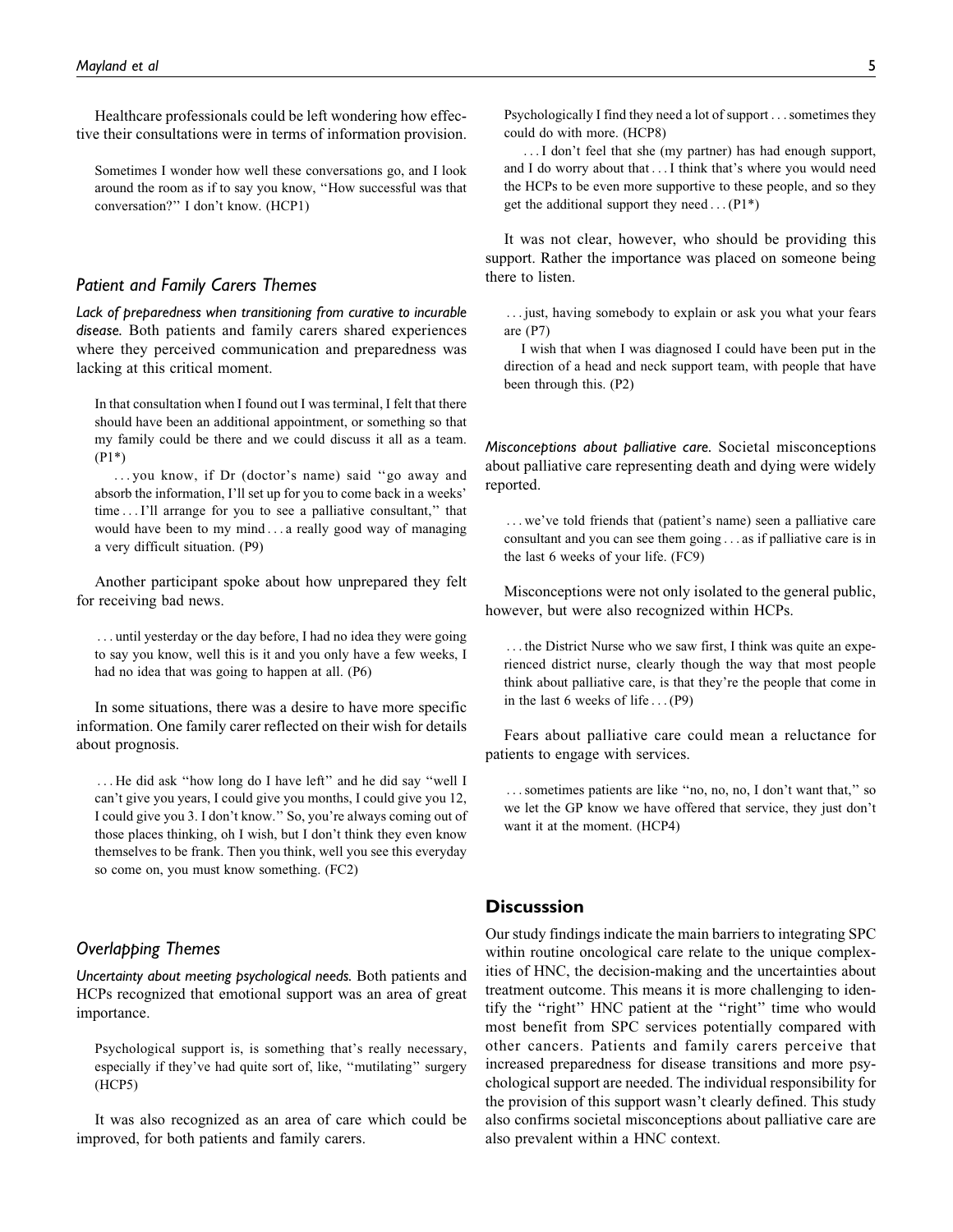Healthcare professionals could be left wondering how effective their consultations were in terms of information provision.

Sometimes I wonder how well these conversations go, and I look around the room as if to say you know, ''How successful was that conversation?'' I don't know. (HCP1)

# Patient and Family Carers Themes

Lack of preparedness when transitioning from curative to incurable disease. Both patients and family carers shared experiences where they perceived communication and preparedness was lacking at this critical moment.

In that consultation when I found out I was terminal, I felt that there should have been an additional appointment, or something so that my family could be there and we could discuss it all as a team. (P1\*)

... you know, if Dr (doctor's name) said ''go away and absorb the information, I'll set up for you to come back in a weeks' time ... I'll arrange for you to see a palliative consultant,'' that would have been to my mind ... a really good way of managing a very difficult situation. (P9)

Another participant spoke about how unprepared they felt for receiving bad news.

... until yesterday or the day before, I had no idea they were going to say you know, well this is it and you only have a few weeks, I had no idea that was going to happen at all. (P6)

In some situations, there was a desire to have more specific information. One family carer reflected on their wish for details about prognosis.

... He did ask ''how long do I have left'' and he did say ''well I can't give you years, I could give you months, I could give you 12, I could give you 3. I don't know.'' So, you're always coming out of those places thinking, oh I wish, but I don't think they even know themselves to be frank. Then you think, well you see this everyday so come on, you must know something. (FC2)

# Overlapping Themes

Uncertainty about meeting psychological needs. Both patients and HCPs recognized that emotional support was an area of great importance.

Psychological support is, is something that's really necessary, especially if they've had quite sort of, like, ''mutilating'' surgery (HCP5)

It was also recognized as an area of care which could be improved, for both patients and family carers.

...I don't feel that she (my partner) has had enough support, and I do worry about that ... I think that's where you would need the HCPs to be even more supportive to these people, and so they get the additional support they need ...  $(P1^*)$ 

could do with more. (HCP8)

It was not clear, however, who should be providing this support. Rather the importance was placed on someone being there to listen.

... just, having somebody to explain or ask you what your fears are (P7)

I wish that when I was diagnosed I could have been put in the direction of a head and neck support team, with people that have been through this. (P2)

Misconceptions about palliative care. Societal misconceptions about palliative care representing death and dying were widely reported.

... we've told friends that (patient's name) seen a palliative care consultant and you can see them going ... as if palliative care is in the last 6 weeks of your life. (FC9)

Misconceptions were not only isolated to the general public, however, but were also recognized within HCPs.

... the District Nurse who we saw first, I think was quite an experienced district nurse, clearly though the way that most people think about palliative care, is that they're the people that come in in the last 6 weeks of life ...(P9)

Fears about palliative care could mean a reluctance for patients to engage with services.

...sometimes patients are like ''no, no, no, I don't want that,'' so we let the GP know we have offered that service, they just don't want it at the moment. (HCP4)

# **Discusssion**

Our study findings indicate the main barriers to integrating SPC within routine oncological care relate to the unique complexities of HNC, the decision-making and the uncertainties about treatment outcome. This means it is more challenging to identify the "right" HNC patient at the "right" time who would most benefit from SPC services potentially compared with other cancers. Patients and family carers perceive that increased preparedness for disease transitions and more psychological support are needed. The individual responsibility for the provision of this support wasn't clearly defined. This study also confirms societal misconceptions about palliative care are also prevalent within a HNC context.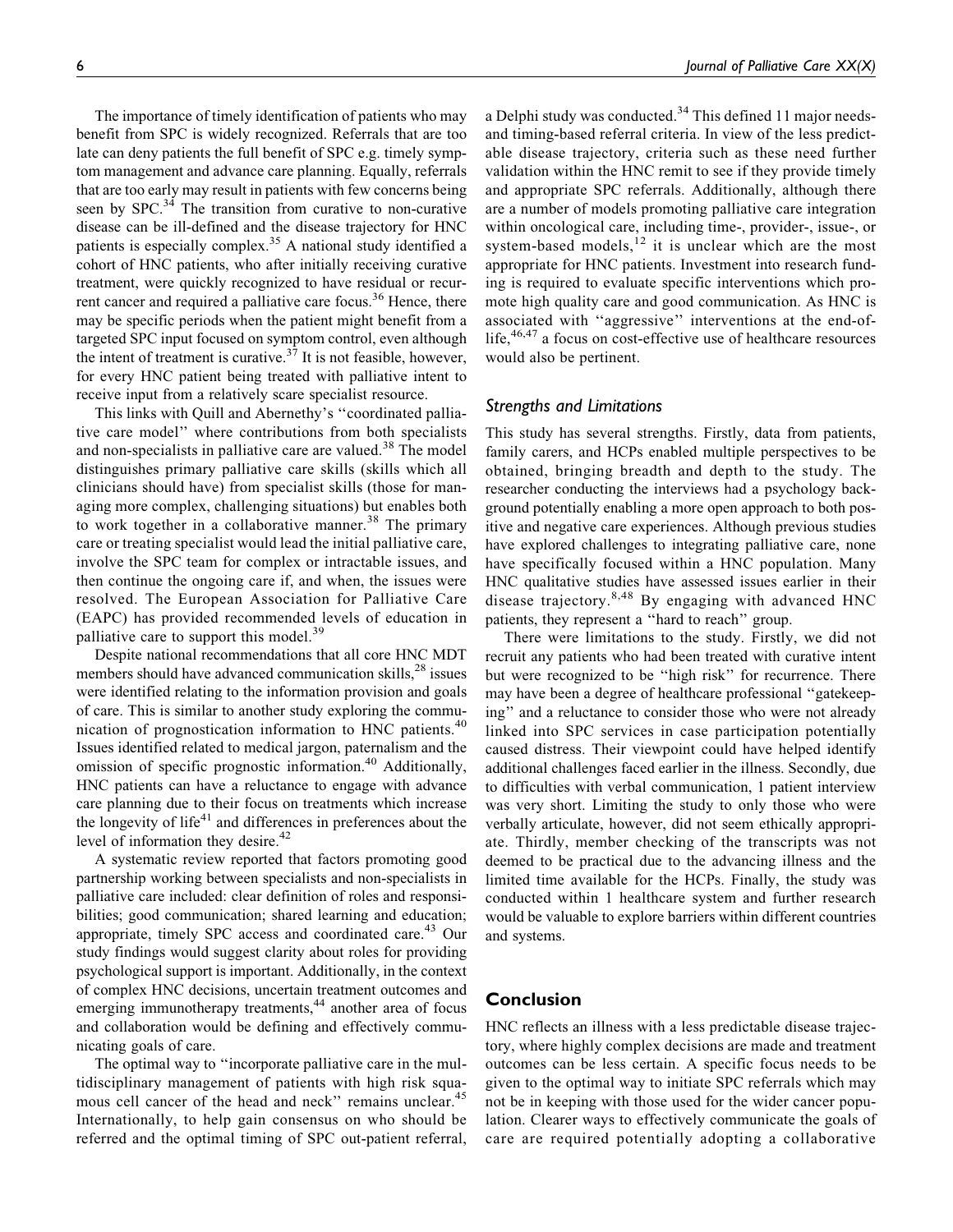The importance of timely identification of patients who may benefit from SPC is widely recognized. Referrals that are too late can deny patients the full benefit of SPC e.g. timely symptom management and advance care planning. Equally, referrals that are too early may result in patients with few concerns being seen by  $SPC<sup>34</sup>$ . The transition from curative to non-curative disease can be ill-defined and the disease trajectory for HNC patients is especially complex.<sup>35</sup> A national study identified a cohort of HNC patients, who after initially receiving curative treatment, were quickly recognized to have residual or recurrent cancer and required a palliative care focus.<sup>36</sup> Hence, there may be specific periods when the patient might benefit from a targeted SPC input focused on symptom control, even although the intent of treatment is curative.<sup>37</sup> It is not feasible, however, for every HNC patient being treated with palliative intent to receive input from a relatively scare specialist resource.

This links with Quill and Abernethy's ''coordinated palliative care model'' where contributions from both specialists and non-specialists in palliative care are valued.<sup>38</sup> The model distinguishes primary palliative care skills (skills which all clinicians should have) from specialist skills (those for managing more complex, challenging situations) but enables both to work together in a collaborative manner.<sup>38</sup> The primary care or treating specialist would lead the initial palliative care, involve the SPC team for complex or intractable issues, and then continue the ongoing care if, and when, the issues were resolved. The European Association for Palliative Care (EAPC) has provided recommended levels of education in palliative care to support this model.<sup>39</sup>

Despite national recommendations that all core HNC MDT members should have advanced communication skills,<sup>28</sup> issues were identified relating to the information provision and goals of care. This is similar to another study exploring the communication of prognostication information to HNC patients.<sup>40</sup> Issues identified related to medical jargon, paternalism and the omission of specific prognostic information.<sup>40</sup> Additionally, HNC patients can have a reluctance to engage with advance care planning due to their focus on treatments which increase the longevity of life $41$  and differences in preferences about the level of information they desire.<sup>42</sup>

A systematic review reported that factors promoting good partnership working between specialists and non-specialists in palliative care included: clear definition of roles and responsibilities; good communication; shared learning and education; appropriate, timely SPC access and coordinated care.<sup>43</sup> Our study findings would suggest clarity about roles for providing psychological support is important. Additionally, in the context of complex HNC decisions, uncertain treatment outcomes and emerging immunotherapy treatments,<sup>44</sup> another area of focus and collaboration would be defining and effectively communicating goals of care.

The optimal way to ''incorporate palliative care in the multidisciplinary management of patients with high risk squamous cell cancer of the head and neck" remains unclear.<sup>45</sup> Internationally, to help gain consensus on who should be referred and the optimal timing of SPC out-patient referral, a Delphi study was conducted.<sup>34</sup> This defined 11 major needsand timing-based referral criteria. In view of the less predictable disease trajectory, criteria such as these need further validation within the HNC remit to see if they provide timely and appropriate SPC referrals. Additionally, although there are a number of models promoting palliative care integration within oncological care, including time-, provider-, issue-, or system-based models, $12$  it is unclear which are the most appropriate for HNC patients. Investment into research funding is required to evaluate specific interventions which promote high quality care and good communication. As HNC is associated with ''aggressive'' interventions at the end-oflife, $46,47$  a focus on cost-effective use of healthcare resources would also be pertinent.

#### Strengths and Limitations

This study has several strengths. Firstly, data from patients, family carers, and HCPs enabled multiple perspectives to be obtained, bringing breadth and depth to the study. The researcher conducting the interviews had a psychology background potentially enabling a more open approach to both positive and negative care experiences. Although previous studies have explored challenges to integrating palliative care, none have specifically focused within a HNC population. Many HNC qualitative studies have assessed issues earlier in their disease trajectory.8,48 By engaging with advanced HNC patients, they represent a ''hard to reach'' group.

There were limitations to the study. Firstly, we did not recruit any patients who had been treated with curative intent but were recognized to be ''high risk'' for recurrence. There may have been a degree of healthcare professional ''gatekeeping'' and a reluctance to consider those who were not already linked into SPC services in case participation potentially caused distress. Their viewpoint could have helped identify additional challenges faced earlier in the illness. Secondly, due to difficulties with verbal communication, 1 patient interview was very short. Limiting the study to only those who were verbally articulate, however, did not seem ethically appropriate. Thirdly, member checking of the transcripts was not deemed to be practical due to the advancing illness and the limited time available for the HCPs. Finally, the study was conducted within 1 healthcare system and further research would be valuable to explore barriers within different countries and systems.

# Conclusion

HNC reflects an illness with a less predictable disease trajectory, where highly complex decisions are made and treatment outcomes can be less certain. A specific focus needs to be given to the optimal way to initiate SPC referrals which may not be in keeping with those used for the wider cancer population. Clearer ways to effectively communicate the goals of care are required potentially adopting a collaborative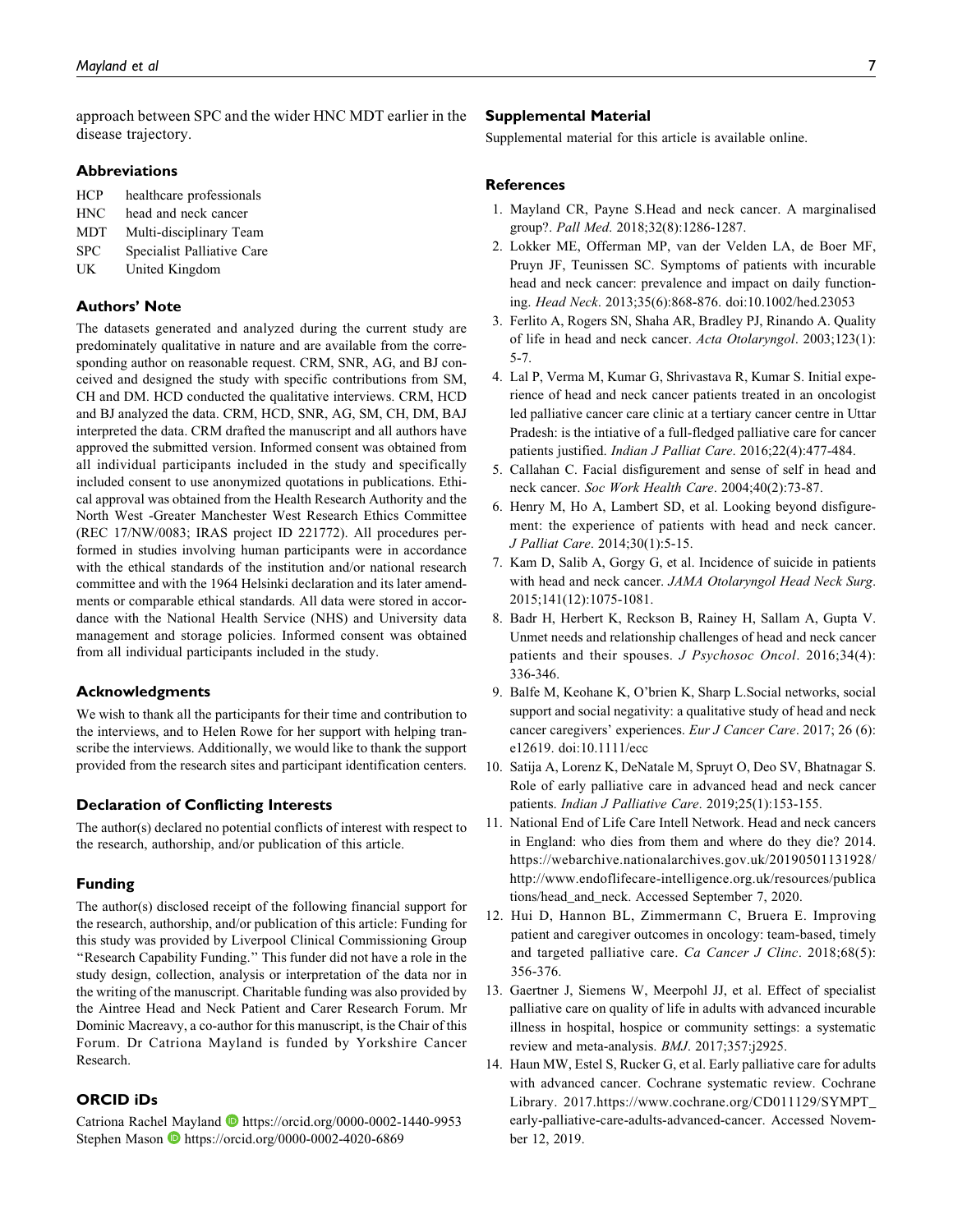approach between SPC and the wider HNC MDT earlier in the disease trajectory.

#### **Abbreviations**

- HCP healthcare professionals
- HNC head and neck cancer
- MDT Multi-disciplinary Team
- SPC Specialist Palliative Care
- UK United Kingdom

# Authors' Note

The datasets generated and analyzed during the current study are predominately qualitative in nature and are available from the corresponding author on reasonable request. CRM, SNR, AG, and BJ conceived and designed the study with specific contributions from SM, CH and DM. HCD conducted the qualitative interviews. CRM, HCD and BJ analyzed the data. CRM, HCD, SNR, AG, SM, CH, DM, BAJ interpreted the data. CRM drafted the manuscript and all authors have approved the submitted version. Informed consent was obtained from all individual participants included in the study and specifically included consent to use anonymized quotations in publications. Ethical approval was obtained from the Health Research Authority and the North West -Greater Manchester West Research Ethics Committee (REC 17/NW/0083; IRAS project ID 221772). All procedures performed in studies involving human participants were in accordance with the ethical standards of the institution and/or national research committee and with the 1964 Helsinki declaration and its later amendments or comparable ethical standards. All data were stored in accordance with the National Health Service (NHS) and University data management and storage policies. Informed consent was obtained from all individual participants included in the study.

#### Acknowledgments

We wish to thank all the participants for their time and contribution to the interviews, and to Helen Rowe for her support with helping transcribe the interviews. Additionally, we would like to thank the support provided from the research sites and participant identification centers.

#### Declaration of Conflicting Interests

The author(s) declared no potential conflicts of interest with respect to the research, authorship, and/or publication of this article.

#### Funding

The author(s) disclosed receipt of the following financial support for the research, authorship, and/or publication of this article: Funding for this study was provided by Liverpool Clinical Commissioning Group ''Research Capability Funding.'' This funder did not have a role in the study design, collection, analysis or interpretation of the data nor in the writing of the manuscript. Charitable funding was also provided by the Aintree Head and Neck Patient and Carer Research Forum. Mr Dominic Macreavy, a co-author for this manuscript, is the Chair of this Forum. Dr Catriona Mayland is funded by Yorkshire Cancer Research.

# ORCID iDs

Catriona Rachel Mayland D <https://orcid.org/0000-0002-1440-9953> Stephen Mason D <https://orcid.org/0000-0002-4020-6869>

#### Supplemental Material

Supplemental material for this article is available online.

### **References**

- 1. Mayland CR, Payne S.Head and neck cancer. A marginalised group?. Pall Med. 2018;32(8):1286-1287.
- 2. Lokker ME, Offerman MP, van der Velden LA, de Boer MF, Pruyn JF, Teunissen SC. Symptoms of patients with incurable head and neck cancer: prevalence and impact on daily functioning. Head Neck. 2013;35(6):868-876. doi:10.1002/hed.23053
- 3. Ferlito A, Rogers SN, Shaha AR, Bradley PJ, Rinando A. Quality of life in head and neck cancer. Acta Otolaryngol. 2003;123(1): 5-7.
- 4. Lal P, Verma M, Kumar G, Shrivastava R, Kumar S. Initial experience of head and neck cancer patients treated in an oncologist led palliative cancer care clinic at a tertiary cancer centre in Uttar Pradesh: is the intiative of a full-fledged palliative care for cancer patients justified. Indian J Palliat Care. 2016;22(4):477-484.
- 5. Callahan C. Facial disfigurement and sense of self in head and neck cancer. Soc Work Health Care. 2004;40(2):73-87.
- 6. Henry M, Ho A, Lambert SD, et al. Looking beyond disfigurement: the experience of patients with head and neck cancer. J Palliat Care. 2014;30(1):5-15.
- 7. Kam D, Salib A, Gorgy G, et al. Incidence of suicide in patients with head and neck cancer. JAMA Otolaryngol Head Neck Surg. 2015;141(12):1075-1081.
- 8. Badr H, Herbert K, Reckson B, Rainey H, Sallam A, Gupta V. Unmet needs and relationship challenges of head and neck cancer patients and their spouses. J Psychosoc Oncol. 2016;34(4): 336-346.
- 9. Balfe M, Keohane K, O'brien K, Sharp L.Social networks, social support and social negativity: a qualitative study of head and neck cancer caregivers' experiences. Eur J Cancer Care. 2017; 26 (6): e12619. doi:10.1111/ecc
- 10. Satija A, Lorenz K, DeNatale M, Spruyt O, Deo SV, Bhatnagar S. Role of early palliative care in advanced head and neck cancer patients. Indian J Palliative Care. 2019;25(1):153-155.
- 11. National End of Life Care Intell Network. Head and neck cancers in England: who dies from them and where do they die? 2014. [https://webarchive.nationalarchives.gov.uk/20190501131928/](https://webarchive.nationalarchives.gov.uk/20190501131928/http://www.endoflifecare-intelligence.org.uk/resources/publications/head_and_neck) [http://www.endoflifecare-intelligence.org.uk/resources/publica](https://webarchive.nationalarchives.gov.uk/20190501131928/http://www.endoflifecare-intelligence.org.uk/resources/publications/head_and_neck) [tions/head\\_and\\_neck.](https://webarchive.nationalarchives.gov.uk/20190501131928/http://www.endoflifecare-intelligence.org.uk/resources/publications/head_and_neck) Accessed September 7, 2020.
- 12. Hui D, Hannon BL, Zimmermann C, Bruera E. Improving patient and caregiver outcomes in oncology: team-based, timely and targeted palliative care. Ca Cancer J Clinc. 2018;68(5): 356-376.
- 13. Gaertner J, Siemens W, Meerpohl JJ, et al. Effect of specialist palliative care on quality of life in adults with advanced incurable illness in hospital, hospice or community settings: a systematic review and meta-analysis. BMJ. 2017;357:j2925.
- 14. Haun MW, Estel S, Rucker G, et al. Early palliative care for adults with advanced cancer. Cochrane systematic review. Cochrane Library. 2017[.https://www.cochrane.org/CD011129/SYMPT\\_](https://www.cochrane.org/CD011129/SYMPT_early-palliative-care-adults-advanced-cancer) [early-palliative-care-adults-advanced-cancer.](https://www.cochrane.org/CD011129/SYMPT_early-palliative-care-adults-advanced-cancer) Accessed November 12, 2019.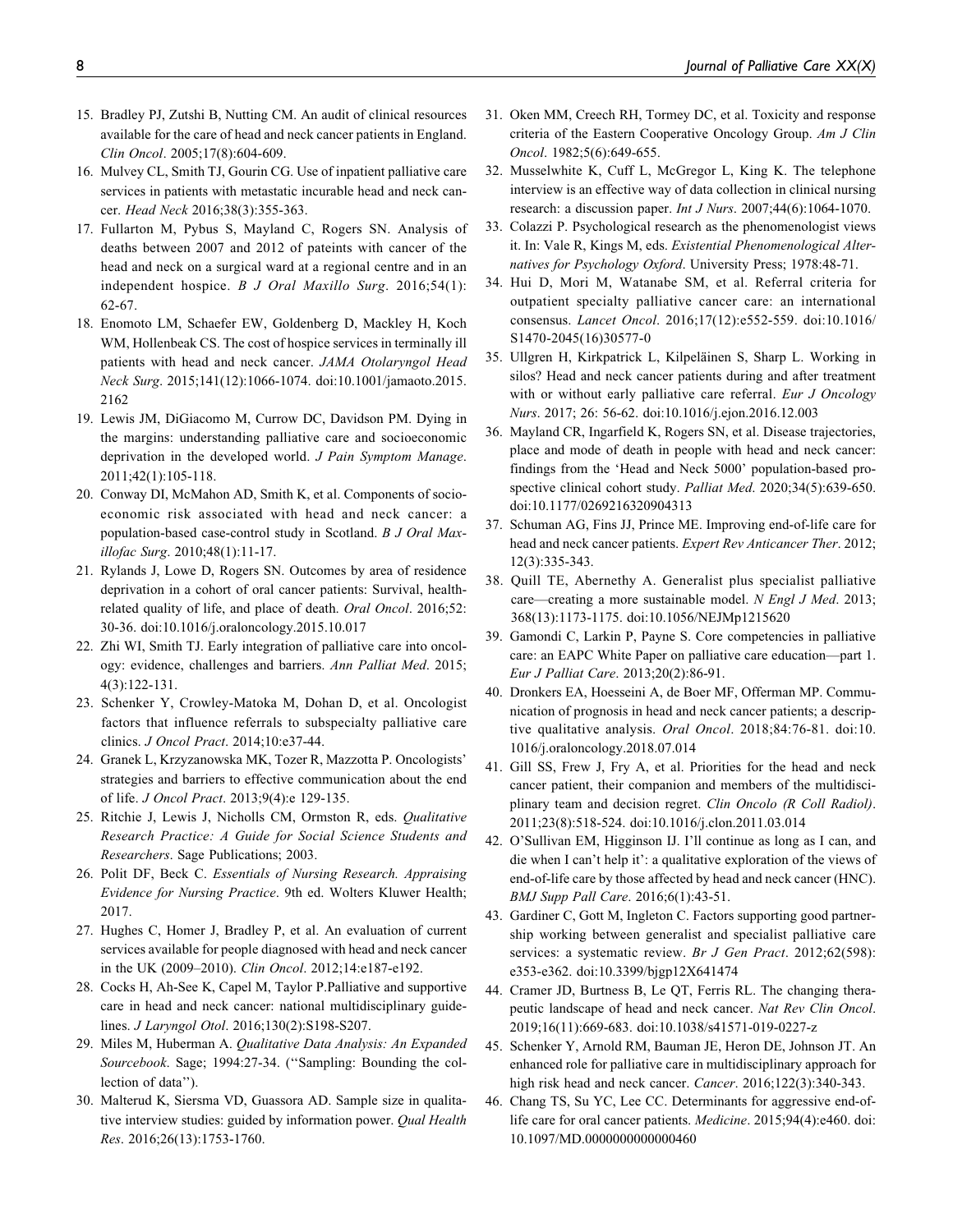- 15. Bradley PJ, Zutshi B, Nutting CM. An audit of clinical resources available for the care of head and neck cancer patients in England. Clin Oncol. 2005;17(8):604-609.
- 16. Mulvey CL, Smith TJ, Gourin CG. Use of inpatient palliative care services in patients with metastatic incurable head and neck cancer. Head Neck 2016;38(3):355-363.
- 17. Fullarton M, Pybus S, Mayland C, Rogers SN. Analysis of deaths between 2007 and 2012 of pateints with cancer of the head and neck on a surgical ward at a regional centre and in an independent hospice. B J Oral Maxillo Surg. 2016;54(1): 62-67.
- 18. Enomoto LM, Schaefer EW, Goldenberg D, Mackley H, Koch WM, Hollenbeak CS. The cost of hospice services in terminally ill patients with head and neck cancer. JAMA Otolaryngol Head Neck Surg. 2015;141(12):1066-1074. doi:10.1001/jamaoto.2015. 2162
- 19. Lewis JM, DiGiacomo M, Currow DC, Davidson PM. Dying in the margins: understanding palliative care and socioeconomic deprivation in the developed world. J Pain Symptom Manage. 2011;42(1):105-118.
- 20. Conway DI, McMahon AD, Smith K, et al. Components of socioeconomic risk associated with head and neck cancer: a population-based case-control study in Scotland. B J Oral Maxillofac Surg. 2010;48(1):11-17.
- 21. Rylands J, Lowe D, Rogers SN. Outcomes by area of residence deprivation in a cohort of oral cancer patients: Survival, healthrelated quality of life, and place of death. Oral Oncol. 2016;52: 30-36. doi:10.1016/j.oraloncology.2015.10.017
- 22. Zhi WI, Smith TJ. Early integration of palliative care into oncology: evidence, challenges and barriers. Ann Palliat Med. 2015; 4(3):122-131.
- 23. Schenker Y, Crowley-Matoka M, Dohan D, et al. Oncologist factors that influence referrals to subspecialty palliative care clinics. J Oncol Pract. 2014;10:e37-44.
- 24. Granek L, Krzyzanowska MK, Tozer R, Mazzotta P. Oncologists' strategies and barriers to effective communication about the end of life. J Oncol Pract. 2013;9(4):e 129-135.
- 25. Ritchie J, Lewis J, Nicholls CM, Ormston R, eds. Qualitative Research Practice: A Guide for Social Science Students and Researchers. Sage Publications; 2003.
- 26. Polit DF, Beck C. Essentials of Nursing Research. Appraising Evidence for Nursing Practice. 9th ed. Wolters Kluwer Health; 2017.
- 27. Hughes C, Homer J, Bradley P, et al. An evaluation of current services available for people diagnosed with head and neck cancer in the UK (2009–2010). Clin Oncol. 2012;14:e187-e192.
- 28. Cocks H, Ah-See K, Capel M, Taylor P.Palliative and supportive care in head and neck cancer: national multidisciplinary guidelines. J Laryngol Otol. 2016;130(2):S198-S207.
- 29. Miles M, Huberman A. Qualitative Data Analysis: An Expanded Sourcebook. Sage; 1994:27-34. ("Sampling: Bounding the collection of data'').
- 30. Malterud K, Siersma VD, Guassora AD. Sample size in qualitative interview studies: guided by information power. Qual Health Res. 2016;26(13):1753-1760.
- 31. Oken MM, Creech RH, Tormey DC, et al. Toxicity and response criteria of the Eastern Cooperative Oncology Group. Am J Clin Oncol. 1982;5(6):649-655.
- 32. Musselwhite K, Cuff L, McGregor L, King K. The telephone interview is an effective way of data collection in clinical nursing research: a discussion paper. *Int J Nurs.* 2007;44(6):1064-1070.
- 33. Colazzi P. Psychological research as the phenomenologist views it. In: Vale R, Kings M, eds. Existential Phenomenological Alternatives for Psychology Oxford. University Press; 1978:48-71.
- 34. Hui D, Mori M, Watanabe SM, et al. Referral criteria for outpatient specialty palliative cancer care: an international consensus. Lancet Oncol. 2016;17(12):e552-559. doi:10.1016/ S1470-2045(16)30577-0
- 35. Ullgren H, Kirkpatrick L, Kilpeläinen S, Sharp L. Working in silos? Head and neck cancer patients during and after treatment with or without early palliative care referral. Eur J Oncology Nurs. 2017; 26: 56-62. doi:10.1016/j.ejon.2016.12.003
- 36. Mayland CR, Ingarfield K, Rogers SN, et al. Disease trajectories, place and mode of death in people with head and neck cancer: findings from the 'Head and Neck 5000' population-based prospective clinical cohort study. Palliat Med. 2020;34(5):639-650. doi:10.1177/0269216320904313
- 37. Schuman AG, Fins JJ, Prince ME. Improving end-of-life care for head and neck cancer patients. Expert Rev Anticancer Ther. 2012; 12(3):335-343.
- 38. Quill TE, Abernethy A. Generalist plus specialist palliative care—creating a more sustainable model. N Engl J Med. 2013; 368(13):1173-1175. doi:10.1056/NEJMp1215620
- 39. Gamondi C, Larkin P, Payne S. Core competencies in palliative care: an EAPC White Paper on palliative care education—part 1. Eur J Palliat Care. 2013;20(2):86-91.
- 40. Dronkers EA, Hoesseini A, de Boer MF, Offerman MP. Communication of prognosis in head and neck cancer patients; a descriptive qualitative analysis. Oral Oncol. 2018;84:76-81. doi:10. 1016/j.oraloncology.2018.07.014
- 41. Gill SS, Frew J, Fry A, et al. Priorities for the head and neck cancer patient, their companion and members of the multidisciplinary team and decision regret. Clin Oncolo (R Coll Radiol). 2011;23(8):518-524. doi:10.1016/j.clon.2011.03.014
- 42. O'Sullivan EM, Higginson IJ. I'll continue as long as I can, and die when I can't help it': a qualitative exploration of the views of end-of-life care by those affected by head and neck cancer (HNC). BMJ Supp Pall Care. 2016;6(1):43-51.
- 43. Gardiner C, Gott M, Ingleton C. Factors supporting good partnership working between generalist and specialist palliative care services: a systematic review. Br J Gen Pract. 2012;62(598): e353-e362. doi:10.3399/bjgp12X641474
- 44. Cramer JD, Burtness B, Le QT, Ferris RL. The changing therapeutic landscape of head and neck cancer. Nat Rev Clin Oncol. 2019;16(11):669-683. doi:10.1038/s41571-019-0227-z
- 45. Schenker Y, Arnold RM, Bauman JE, Heron DE, Johnson JT. An enhanced role for palliative care in multidisciplinary approach for high risk head and neck cancer. Cancer. 2016;122(3):340-343.
- 46. Chang TS, Su YC, Lee CC. Determinants for aggressive end-oflife care for oral cancer patients. Medicine. 2015;94(4):e460. doi: 10.1097/MD.0000000000000460